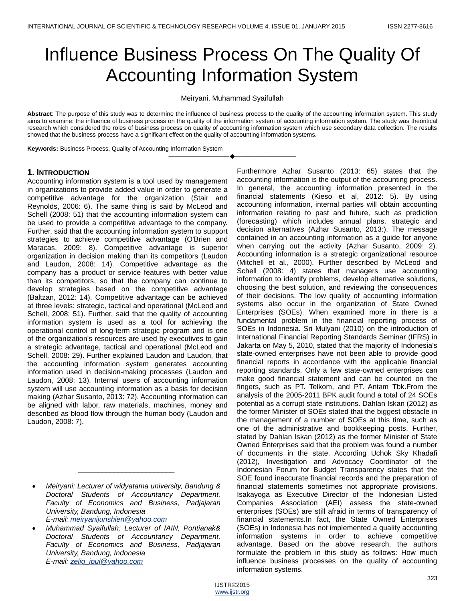# Influence Business Process On The Quality Of Accounting Information System

Meiryani, Muhammad Syaifullah

**Abstract**: The purpose of this study was to determine the influence of business process to the quality of the accounting information system. This study aims to examine: the influence of business process on the quality of the information system of accounting information system. The study was theoritical research which considered the roles of business process on quality of accounting information system which use secondary data collection. The results showed that the business process have a significant effect on the quality of accounting information systems.

————————————————————

**Keywords:** Business Process, Quality of Accounting Information System

### **1. INTRODUCTION**

Accounting information system is a tool used by management in organizations to provide added value in order to generate a competitive advantage for the organization (Stair and Reynolds, 2006: 6). The same thing is said by McLeod and Schell (2008: 51) that the accounting information system can be used to provide a competitive advantage to the company. Further, said that the accounting information system to support strategies to achieve competitive advantage (O'Brien and Maracas, 2009: 8). Competitive advantage is superior organization in decision making than its competitors (Laudon and Laudon, 2008: 14). Competitive advantage as the company has a product or service features with better value than its competitors, so that the company can continue to develop strategies based on the competitive advantage (Baltzan, 2012: 14). Competitive advantage can be achieved at three levels: strategic, tactical and operational (McLeod and Schell, 2008: 51). Further, said that the quality of accounting information system is used as a tool for achieving the operational control of long-term strategic program and is one of the organization's resources are used by executives to gain a strategic advantage, tactical and operational (McLeod and Schell, 2008: 29). Further explained Laudon and Laudon, that the accounting information system generates accounting information used in decision-making processes (Laudon and Laudon, 2008: 13). Internal users of accounting information system will use accounting information as a basis for decision making (Azhar Susanto, 2013: 72). Accounting information can be aligned with labor, raw materials, machines, money and described as blood flow through the human body (Laudon and Laudon, 2008: 7).

\_\_\_\_\_\_\_\_\_\_\_\_\_\_\_\_\_\_\_\_\_\_\_\_

Furthermore Azhar Susanto (2013: 65) states that the accounting information is the output of the accounting process. In general, the accounting information presented in the financial statements (Kieso et al, 2012: 5). By using accounting information, internal parties will obtain accounting information relating to past and future, such as prediction (forecasting) which includes annual plans, strategic and decision alternatives (Azhar Susanto, 2013:). The message contained in an accounting information as a guide for anyone when carrying out the activity (Azhar Susanto, 2009: 2). Accounting information is a strategic organizational resource (Mitchell et al., 2000). Further described by McLeod and Schell (2008: 4) states that managers use accounting information to identify problems, develop alternative solutions, choosing the best solution, and reviewing the consequences of their decisions. The low quality of accounting information systems also occur in the organization of State Owned Enterprises (SOEs). When examined more in there is a fundamental problem in the financial reporting process of SOEs in Indonesia. Sri Mulyani (2010) on the introduction of International Financial Reporting Standards Seminar (IFRS) in Jakarta on May 5, 2010, stated that the majority of Indonesia's state-owned enterprises have not been able to provide good financial reports in accordance with the applicable financial reporting standards. Only a few state-owned enterprises can make good financial statement and can be counted on the fingers, such as PT. Telkom, and PT. Antam Tbk.From the analysis of the 2005-2011 BPK audit found a total of 24 SOEs potential as a corrupt state institutions. Dahlan Iskan (2012) as the former Minister of SOEs stated that the biggest obstacle in the management of a number of SOEs at this time, such as one of the administrative and bookkeeping posts. Further, stated by Dahlan Iskan (2012) as the former Minister of State Owned Enterprises said that the problem was found a number of documents in the state. According Uchok Sky Khadafi (2012), Investigation and Advocacy Coordinator of the Indonesian Forum for Budget Transparency states that the SOE found inaccurate financial records and the preparation of financial statements sometimes not appropriate provisions. Isakayoga as Executive Director of the Indonesian Listed Companies Association (AEI) assess the state-owned enterprises (SOEs) are still afraid in terms of transparency of financial statements.In fact, the State Owned Enterprises (SOEs) in Indonesia has not implemented a quality accounting information systems in order to achieve competitive advantage. Based on the above research, the authors formulate the problem in this study as follows: How much influence business processes on the quality of accounting information systems.

*Meiryani: Lecturer of widyatama university, Bandung & Doctoral Students of Accountancy Department, Faculty of Economics and Business, Padjajaran University, Bandung, Indonesia E-mail[: meiryanijunshien@yahoo.com](mailto:meiryanijunshien@yahoo.com)*

*Muhammad Syaifullah: Lecturer of IAIN, Pontianak& Doctoral Students of Accountancy Department, Faculty of Economics and Business, Padjajaran University, Bandung, Indonesia E-mail[: zeliq\\_ipul@yahoo.com](mailto:zeliq_ipul@yahoo.com)*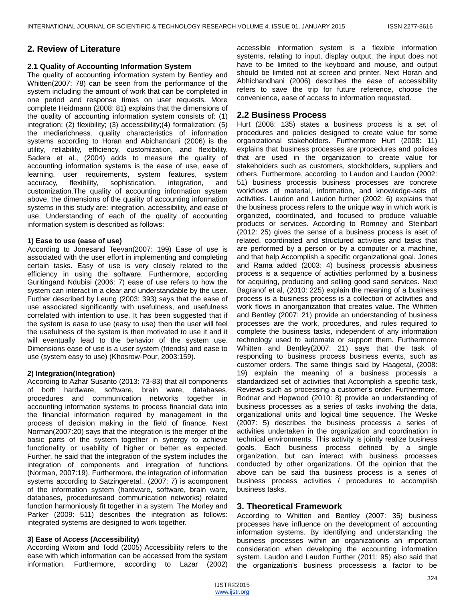# **2. Review of Literature**

#### **2.1 Quality of Accounting Information System**

The quality of accounting information system by Bentley and Whitten(2007: 78) can be seen from the performance of the system including the amount of work that can be completed in one period and response times on user requests. More complete Heidmann (2008: 81) explains that the dimensions of the quality of accounting information system consists of: (1) integration; (2) flexibility; (3) accessibility;(4) formalization; (5) the mediarichness. quality characteristics of information systems according to Horan and Abichandani (2006) is the utility, reliability, efficiency, customization, and flexibility. Sadera et al., (2004) adds to measure the quality of accounting information systems is the ease of use, ease of learning, user requirements, system features, system accuracy, flexibility, sophistication, integration, and customization.The quality of accounting information system above, the dimensions of the quality of accounting information systems in this study are: integration, accessibility, and ease of use. Understanding of each of the quality of accounting information system is described as follows:

#### **1) Ease to use (ease of use)**

According to Jonesand Teevan(2007: 199) Ease of use is associated with the user effort in implementing and completing certain tasks. Easy of use is very closely related to the efficiency in using the software. Furthermore, according Guritingand Ndubisi (2006: 7) ease of use refers to how the system can interact in a clear and understandable by the user. Further described by Leung (2003: 393) says that the ease of use associated significantly with usefulness, and usefulness correlated with intention to use. It has been suggested that if the system is ease to use (easy to use) then the user will feel the usefulness of the system is then motivated to use it and it will eventually lead to the behavior of the system use. Dimensions ease of use is a user system (friends) and ease to use (system easy to use) (Khosrow-Pour, 2003:159).

#### **2) Integration(Integration)**

According to Azhar Susanto (2013: 73-83) that all components of both hardware, software, brain ware, databases, procedures and communication networks together in accounting information systems to process financial data into the financial information required by management in the process of decision making in the field of finance. Next Norman(2007:20) says that the integration is the merger of the basic parts of the system together in synergy to achieve functionality or usability of higher or better as expected. Further, he said that the integration of the system includes the integration of components and integration of functions (Norman, 2007:19). Furthermore, the integration of information systems according to Satzingeretal., (2007: 7) is acomponent of the information system (hardware, software, brain ware, databases, proceduresand communication networks) related function harmoniously fit together in a system. The Morley and Parker (2009: 511) describes the integration as follows: integrated systems are designed to work together.

#### **3) Ease of Access (Accessibility)**

According Wixom and Todd (2005) Accessibility refers to the ease with which information can be accessed from the system information. Furthermore, according to Lazar (2002) accessible information system is a flexible information systems, relating to input, display output, the input does not have to be limited to the keyboard and mouse, and output should be limited not at screen and printer. Next Horan and Abhichandhani (2006) describes the ease of accessibility refers to save the trip for future reference, choose the convenience, ease of access to information requested.

# **2.2 Business Process**

Hurt (2008: 135) states a business process is a set of procedures and policies designed to create value for some organizational stakeholders. Furthermore Hurt (2008: 11) explains that business processes are procedures and policies that are used in the organization to create value for stakeholders such as customers, stockholders, suppliers and others. Furthermore, according to Laudon and Laudon (2002: 51) business processis business processes are concrete workflows of material, information, and knowledge-sets of activities. Laudon and Laudon further (2002: 6) explains that the business process refers to the unique way in which work is organized, coordinated, and focused to produce valuable products or services. According to Romney and Steinbart (2012: 25) gives the sense of a business process is aset of related, coordinated and structured activities and tasks that are performed by a person or by a computer or a machine, and that help Accomplish a specific organizational goal. Jones and Rama added (2003: 4) business processis abusiness process is a sequence of activities performed by a business for acquiring, producing and selling good sand services. Next Bagranof et al, (2010: 225) explain the meaning of a business process is a business process is a collection of activities and work flows in anorganization that creates value. The Whitten and Bentley (2007: 21) provide an understanding of business processes are the work, procedures, and rules required to complete the business tasks, independent of any information technology used to automate or support them. Furthermore Whitten and Bentley(2007: 21) says that the task of responding to business process business events, such as customer orders. The same thingis said by Haagetal, (2008: 19) explain the meaning of a business processis a standardized set of activities that Accomplish a specific task, Reviews such as processing a customer's order. Furthermore, Bodnar and Hopwood (2010: 8) provide an understanding of business processes as a series of tasks involving the data, organizational units and logical time sequence. The Weske (2007: 5) describes the business processis a series of activities undertaken in the organization and coordination in technical environments. This activity is jointly realize business goals. Each business process defined by a single organization, but can interact with business processes conducted by other organizations. Of the opinion that the above can be said tha business process is a series of business process activities / procedures to accomplish business tasks.

# **3. Theoretical Framework**

According to Whitten and Bentley (2007: 35) business processes have influence on the development of accounting information systems. By identifying and understanding the business processes within an organizationis an important consideration when developing the accounting information system. Laudon and Laudon Further (2011: 95) also said that the organization's business processesis a factor to be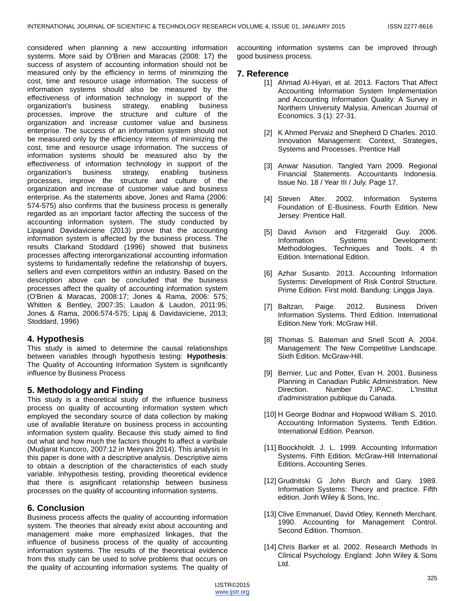considered when planning a new accounting information systems. More said by O'Brien and Maracas (2008: 17) the success of asystem of accounting information should not be measured only by the efficiency in terms of minimizing the cost, time and resource usage information. The success of information systems should also be measured by the effectiveness of information technology in support of the organization's business strategy, enabling business processes, improve the structure and culture of the organization and increase customer value and business enterprise. The success of an information system should not be measured only by the efficiency interms of minimizing the cost, time and resource usage information. The success of information systems should be measured also by the effectiveness of information technology in support of the organization's business strategy, enabling business processes, improve the structure and culture of the organization and increase of customer value and business enterprise. As the statements above, Jones and Rama (2006: 574-575) also confirms that the business process is generally regarded as an important factor affecting the success of the accounting information system. The study conducted by Lipajand Davidaviciene (2013) prove that the accounting information system is affected by the business process. The results Clarkand Stoddard (1996) showed that business processes affecting interorganizational accounting information systems to fundamentally redefine the relationship of buyers, sellers and even competitors within an industry. Based on the description above can be concluded that the business processes affect the quality of accounting information system (O'Brien & Maracas, 2008:17; Jones & Rama, 2006: 575; Whitten & Bentley, 2007:35; Laudon & Laudon, 2011:95; Jones & Rama, 2006:574-575; Lipaj & Davidaviciene, 2013; Stoddard, 1996)

# **4. Hypothesis**

This study is aimed to determine the causal relationships between variables through hypothesis testing: **Hypothesis**: The Quality of Accounting Information System is significantly influence by Business Process

# **5. Methodology and Finding**

This study is a theoretical study of the influence business process on quality of accounting information system which employed the secondary source of data collection by making use of available literature on business process in accounting information system quality. Because this study aimed to find out what and how much the factors thought fo affect a varibale (Mudjarat Kuncoro, 2007:12 in Meiryani 2014). This analysis in this paper is done with a descriptive analysis. Descriptive aims to obtain a description of the characteristics of each study variable. Inhypothesis testing, providing theoretical evidence that there is asignificant relationship between business processes on the quality of accounting information systems.

# **6. Conclusion**

Business process affects the quality of accounting information system. The theories that already exist about accounting and management make more emphasized linkages, that the influence of business process of the quality of accounting information systems. The results of the theoretical evidence from this study can be used to solve problems that occurs on the quality of accounting information systems. The quality of accounting information systems can be improved through good business process.

# **7. Reference**

- [1] Ahmad Al-Hiyari, et al. 2013. Factors That Affect Accounting Information System Implementation and Accounting Information Quality: A Survey in Northern University Malysia. American Journal of Economics. 3 (1): 27-31.
- [2] K Ahmed Pervaiz and Shepherd D Charles. 2010. Innovation Management: Context, Strategies, Systems and Processes. Prentice Hall
- [3] Anwar Nasution. Tangled Yarn 2009. Regional Financial Statements. Accountants Indonesia. Issue No. 18 / Year III / July. Page 17.
- [4] Steven Alter. 2002. Information Systems Foundation of E-Business. Fourth Edition. New Jersey: Prentice Hall.
- [5] David Avison and Fitzgerald Guy. 2006. Information Systems Development: Methodologies, Techniques and Tools. 4 th Edition. International Edition.
- [6] Azhar Susanto. 2013. Accounting Information Systems: Development of Risk Control Structure. Prime Edition. First mold. Bandung: Lingga Jaya.
- [7] Baltzan, Paige. 2012. Business Driven Information Systems. Third Edition. International Edition.New York: McGraw Hill.
- [8] Thomas S. Bateman and Snell Scott A. 2004. Management: The New Competitive Landscape. Sixth Edition. McGraw-Hill.
- [9] Bernier, Luc and Potter, Evan H. 2001. Business Planning in Canadian Public Administration. New Direction. Number 7.IPAC. L'Institut d'administration publique du Canada.
- [10] H George Bodnar and Hopwood William S. 2010. Accounting Information Systems. Tenth Edition. International Edition. Pearson.
- [11] Boockholdt. J. L. 1999. Accounting Information Systems. Fifth Edition. McGraw-Hill International Editions. Accounting Series.
- [12] Grudnitski G John Burch and Gary. 1989. Information Systems: Theory and practice. Fifth edition. Jonh Wiley & Sons, Inc.
- [13] Clive Emmanuel, David Otley, Kenneth Merchant. 1990. Accounting for Management Control. Second Edition. Thomson.
- [14] Chris Barker et al. 2002. Research Methods In Clinical Psychology. England: John Wiley & Sons Ltd.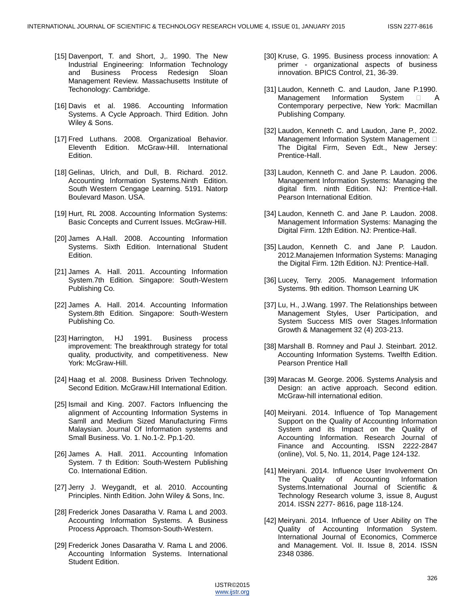- [15] Davenport, T. and Short, J,. 1990. The New Industrial Engineering: Information Technology Business Process Redesign Sloan Management Review. Massachusetts Institute of Techonology: Cambridge.
- [16] Davis et al. 1986. Accounting Information Systems. A Cycle Approach. Third Edition. John Wiley & Sons.
- [17] Fred Luthans. 2008. Organizatioal Behavior. Eleventh Edition. McGraw-Hill. International Edition.
- [18] Gelinas, Ulrich, and Dull, B. Richard. 2012. Accounting Information Systems.Ninth Edition. South Western Cengage Learning. 5191. Natorp Boulevard Mason. USA.
- [19] Hurt, RL 2008. Accounting Information Systems: Basic Concepts and Current Issues. McGraw-Hill.
- [20] James A.Hall. 2008. Accounting Information Systems. Sixth Edition. International Student Edition.
- [21] James A. Hall. 2011. Accounting Information System.7th Edition. Singapore: South-Western Publishing Co.
- [22] James A. Hall. 2014. Accounting Information System.8th Edition. Singapore: South-Western Publishing Co.
- [23] Harrington, HJ 1991. Business process improvement: The breakthrough strategy for total quality, productivity, and competitiveness. New York: McGraw-Hill.
- [24] Haag et al. 2008. Business Driven Technology. Second Edition. McGraw.Hill International Edition.
- [25] Ismail and King. 2007. Factors Influencing the alignment of Accounting Information Systems in Samll and Medium Sized Manufacturing Firms Malaysian. Journal Of Information systems and Small Business. Vo. 1. No.1-2. Pp.1-20.
- [26] James A. Hall. 2011. Accounting Infomation System. 7 th Edition: South-Western Publishing Co. International Edition.
- [27] Jerry J. Weygandt, et al. 2010. Accounting Principles. Ninth Edition. John Wiley & Sons, Inc.
- [28] Frederick Jones Dasaratha V. Rama L and 2003. Accounting Information Systems. A Business Process Approach. Thomson-South-Western.
- [29] Frederick Jones Dasaratha V. Rama L and 2006. Accounting Information Systems. International Student Edition.
- [30] Kruse, G. 1995. Business process innovation: A primer - organizational aspects of business innovation. BPICS Control, 21, 36-39.
- [31] Laudon, Kenneth C. and Laudon, Jane P.1990. Management Information System  $\Box$  A Contemporary perpective, New York: Macmillan Publishing Company.
- [32] Laudon, Kenneth C. and Laudon, Jane P., 2002. Management Information System Management  $\Box$ The Digital Firm, Seven Edt., New Jersey: Prentice-Hall.
- [33] Laudon, Kenneth C. and Jane P. Laudon. 2006. Management Information Systems: Managing the digital firm. ninth Edition. NJ: Prentice-Hall. Pearson International Edition.
- [34] Laudon, Kenneth C. and Jane P. Laudon. 2008. Management Information Systems: Managing the Digital Firm. 12th Edition. NJ: Prentice-Hall.
- [35] Laudon, Kenneth C. and Jane P. Laudon. 2012.Manajemen Information Systems: Managing the Digital Firm. 12th Edition. NJ: Prentice-Hall.
- [36] Lucey, Terry. 2005. Management Information Systems. 9th edition. Thomson Learning UK
- [37] Lu, H., J.Wang. 1997. The Relationships between Management Styles, User Participation, and System Success MIS over Stages.Information Growth & Management 32 (4) 203-213.
- [38] Marshall B. Romney and Paul J. Steinbart. 2012. Accounting Information Systems. Twelfth Edition. Pearson Prentice Hall
- [39] Maracas M. George. 2006. Systems Analysis and Design: an active approach. Second edition. McGraw-hill international edition.
- [40] Meiryani. 2014. Influence of Top Management Support on the Quality of Accounting Information System and its Impact on the Quality of Accounting Information. Research Journal of Finance and Accounting. ISSN 2222-2847 (online), Vol. 5, No. 11, 2014, Page 124-132.
- [41] Meiryani. 2014. Influence User Involvement On The Quality of Accounting Information Systems.International Journal of Scientific & Technology Research volume 3, issue 8, August 2014. ISSN 2277- 8616, page 118-124.
- [42] Meiryani. 2014. Influence of User Ability on The Quality of Accounting Information System. International Journal of Economics, Commerce and Management. Vol. II. Issue 8, 2014. ISSN 2348 0386.

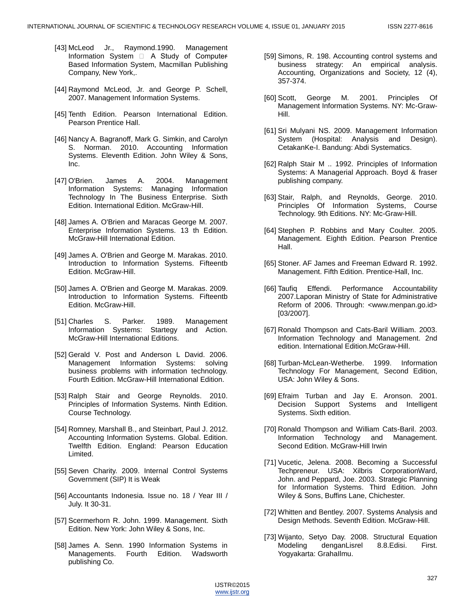- [43] McLeod Jr., Raymond.1990. Management Information System  $\Box$  A Study of Computer-Based Information System, Macmillan Publishing Company, New York,.
- [44] Raymond McLeod, Jr. and George P. Schell, 2007. Management Information Systems.
- [45] Tenth Edition. Pearson International Edition. Pearson Prentice Hall.
- [46] Nancy A. Bagranoff, Mark G. Simkin, and Carolyn S. Norman. 2010. Accounting Information Systems. Eleventh Edition. John Wiley & Sons, Inc.
- [47] O'Brien. James A. 2004. Management Information Systems: Managing Information Technology In The Business Enterprise. Sixth Edition. International Edition. McGraw-Hill.
- [48] James A. O'Brien and Maracas George M. 2007. Enterprise Information Systems. 13 th Edition. McGraw-Hill International Edition.
- [49] James A. O'Brien and George M. Marakas. 2010. Introduction to Information Systems. Fifteentb Edition. McGraw-Hill.
- [50] James A. O'Brien and George M. Marakas. 2009. Introduction to Information Systems. Fifteentb Edition. McGraw-Hill.
- [51] Charles S. Parker. 1989. Management Information Systems: Startegy and Action. McGraw-Hill International Editions.
- [52] Gerald V. Post and Anderson L David. 2006. Management Information Systems: solving business problems with information technology. Fourth Edition. McGraw-Hill International Edition.
- [53] Ralph Stair and George Reynolds. 2010. Principles of Information Systems. Ninth Edition. Course Technology.
- [54] Romney, Marshall B., and Steinbart, Paul J. 2012. Accounting Information Systems. Global. Edition. Twelfth Edition. England: Pearson Education Limited.
- [55] Seven Charity. 2009. Internal Control Systems Government (SIP) It is Weak
- [56] Accountants Indonesia. Issue no. 18 / Year III / July. It 30-31.
- [57] Scermerhorn R. John. 1999. Management. Sixth Edition. New York: John Wiley & Sons, Inc.
- [58] James A. Senn. 1990 Information Systems in Managements. Fourth Edition. Wadsworth publishing Co.
- [59] Simons, R. 198. Accounting control systems and business strategy: An empirical analysis. Accounting, Organizations and Society, 12 (4), 357-374.
- [60] Scott, George M. 2001. Principles Of Management Information Systems. NY: Mc-Graw-Hill.
- [61] Sri Mulyani NS. 2009. Management Information System (Hospital: Analysis and Design). CetakanKe-I. Bandung: Abdi Systematics.
- [62] Ralph Stair M .. 1992. Principles of Information Systems: A Managerial Approach. Boyd & fraser publishing company.
- [63] Stair, Ralph, and Reynolds, George. 2010. Principles Of Information Systems, Course Technology. 9th Editions. NY: Mc-Graw-Hill.
- [64] Stephen P. Robbins and Mary Coulter. 2005. Management. Eighth Edition. Pearson Prentice Hall.
- [65] Stoner. AF James and Freeman Edward R. 1992. Management. Fifth Edition. Prentice-Hall, Inc.
- [66] Taufiq Effendi. Performance Accountability 2007.Laporan Ministry of State for Administrative Reform of 2006. Through: <www.menpan.go.id> [03/2007].
- [67] Ronald Thompson and Cats-Baril William. 2003. Information Technology and Management. 2nd edition. International Edition.McGraw-Hill.
- [68] Turban-McLean-Wetherbe. 1999. Information Technology For Management, Second Edition, USA: John Wiley & Sons.
- [69] Efraim Turban and Jay E. Aronson. 2001. Decision Support Systems and Intelligent Systems. Sixth edition.
- [70] Ronald Thompson and William Cats-Baril. 2003. Information Technology and Management. Second Edition. McGraw-Hill Irwin
- [71] Vucetic, Jelena. 2008. Becoming a Successful Techpreneur. USA: Xilbris CorporationWard, John. and Peppard, Joe. 2003. Strategic Planning for Information Systems. Third Edition. John Wiley & Sons, Buffins Lane, Chichester.
- [72] Whitten and Bentley. 2007. Systems Analysis and Design Methods. Seventh Edition. McGraw-Hill.
- [73] Wijanto, Setyo Day. 2008. Structural Equation Modeling denganLisrel 8.8.Edisi. First. Yogyakarta: GrahaIlmu.